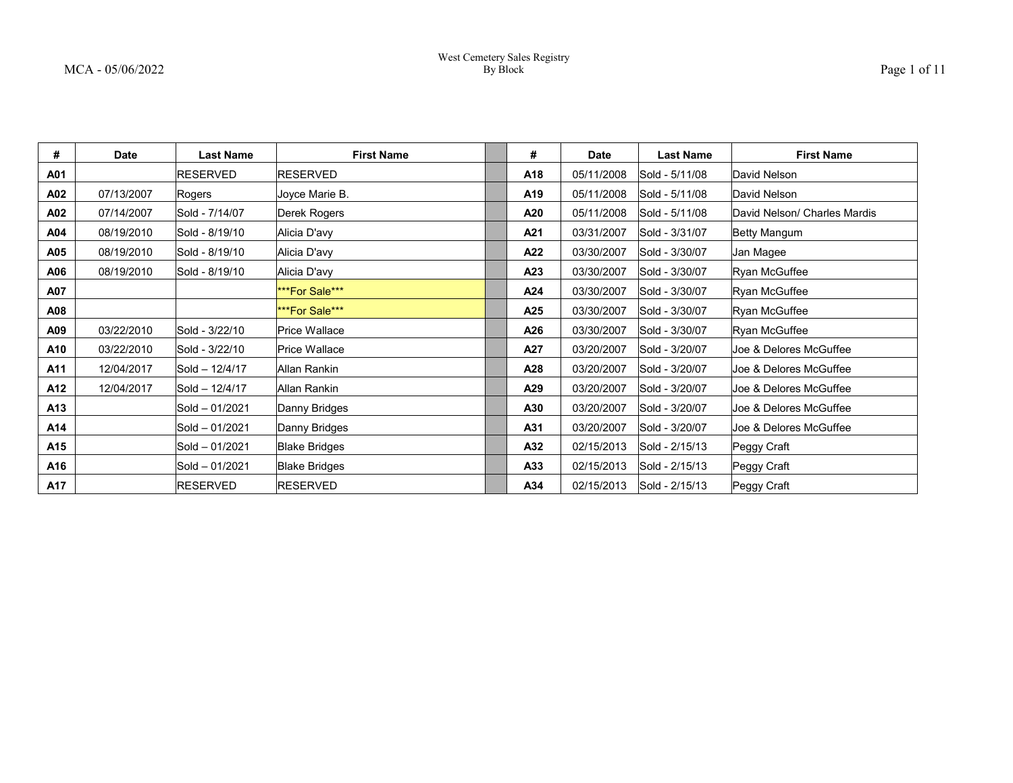| #   | <b>Date</b> | <b>Last Name</b> | <b>First Name</b>     | #   | Date       | <b>Last Name</b> | <b>First Name</b>            |
|-----|-------------|------------------|-----------------------|-----|------------|------------------|------------------------------|
| A01 |             | RESERVED         | <b>RESERVED</b>       | A18 | 05/11/2008 | Sold - 5/11/08   | David Nelson                 |
| A02 | 07/13/2007  | Rogers           | Joyce Marie B.        | A19 | 05/11/2008 | Sold - 5/11/08   | David Nelson                 |
| A02 | 07/14/2007  | Sold - 7/14/07   | Derek Rogers          | A20 | 05/11/2008 | Sold - 5/11/08   | David Nelson/ Charles Mardis |
| A04 | 08/19/2010  | Sold - 8/19/10   | Alicia D'avy          | A21 | 03/31/2007 | Sold - 3/31/07   | Betty Mangum                 |
| A05 | 08/19/2010  | Sold - 8/19/10   | Alicia D'avy          | A22 | 03/30/2007 | Sold - 3/30/07   | Jan Magee                    |
| A06 | 08/19/2010  | Sold - 8/19/10   | Alicia D'avy          | A23 | 03/30/2007 | Sold - 3/30/07   | Ryan McGuffee                |
| A07 |             |                  | ***For Sale***        | A24 | 03/30/2007 | Sold - 3/30/07   | Ryan McGuffee                |
| A08 |             |                  | <b>***For Sale***</b> | A25 | 03/30/2007 | Sold - 3/30/07   | Ryan McGuffee                |
| A09 | 03/22/2010  | Sold - 3/22/10   | Price Wallace         | A26 | 03/30/2007 | Sold - 3/30/07   | Ryan McGuffee                |
| A10 | 03/22/2010  | Sold - 3/22/10   | Price Wallace         | A27 | 03/20/2007 | Sold - 3/20/07   | Joe & Delores McGuffee       |
| A11 | 12/04/2017  | Sold - 12/4/17   | Allan Rankin          | A28 | 03/20/2007 | Sold - 3/20/07   | Joe & Delores McGuffee       |
| A12 | 12/04/2017  | Sold - 12/4/17   | Allan Rankin          | A29 | 03/20/2007 | Sold - 3/20/07   | Joe & Delores McGuffee       |
| A13 |             | Sold - 01/2021   | Danny Bridges         | A30 | 03/20/2007 | Sold - 3/20/07   | Joe & Delores McGuffee       |
| A14 |             | Sold - 01/2021   | Danny Bridges         | A31 | 03/20/2007 | Sold - 3/20/07   | Joe & Delores McGuffee       |
| A15 |             | Sold - 01/2021   | <b>Blake Bridges</b>  | A32 | 02/15/2013 | Sold - 2/15/13   | Peggy Craft                  |
| A16 |             | Sold - 01/2021   | <b>Blake Bridges</b>  | A33 | 02/15/2013 | Sold - 2/15/13   | Peggy Craft                  |
| A17 |             | <b>RESERVED</b>  | <b>RESERVED</b>       | A34 | 02/15/2013 | Sold - 2/15/13   | Peggy Craft                  |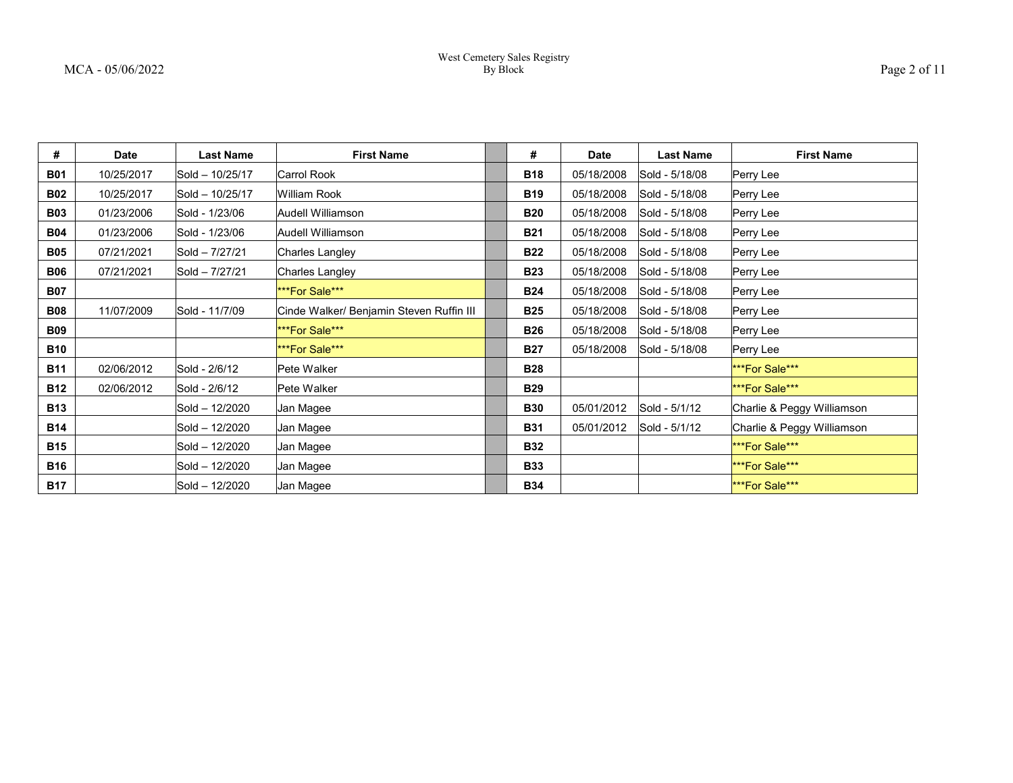| $2a$ or $\alpha$ |  |  |
|------------------|--|--|
|                  |  |  |

| #          | <b>Date</b> | <b>Last Name</b> | <b>First Name</b>                        | #          | <b>Date</b> | <b>Last Name</b> | <b>First Name</b>          |
|------------|-------------|------------------|------------------------------------------|------------|-------------|------------------|----------------------------|
| <b>B01</b> | 10/25/2017  | Sold - 10/25/17  | Carrol Rook                              | <b>B18</b> | 05/18/2008  | Sold - 5/18/08   | Perry Lee                  |
| <b>B02</b> | 10/25/2017  | Sold - 10/25/17  | William Rook                             | <b>B19</b> | 05/18/2008  | Sold - 5/18/08   | Perry Lee                  |
| <b>B03</b> | 01/23/2006  | Sold - 1/23/06   | Audell Williamson                        | <b>B20</b> | 05/18/2008  | Sold - 5/18/08   | Perry Lee                  |
| <b>B04</b> | 01/23/2006  | Sold - 1/23/06   | Audell Williamson                        | <b>B21</b> | 05/18/2008  | Sold - 5/18/08   | Perry Lee                  |
| <b>B05</b> | 07/21/2021  | Sold - 7/27/21   | Charles Langley                          | <b>B22</b> | 05/18/2008  | Sold - 5/18/08   | Perry Lee                  |
| <b>B06</b> | 07/21/2021  | Sold - 7/27/21   | Charles Langley                          | <b>B23</b> | 05/18/2008  | Sold - 5/18/08   | Perry Lee                  |
| <b>B07</b> |             |                  | <b>***For Sale***</b>                    | <b>B24</b> | 05/18/2008  | Sold - 5/18/08   | Perry Lee                  |
| <b>B08</b> | 11/07/2009  | Sold - 11/7/09   | Cinde Walker/ Benjamin Steven Ruffin III | <b>B25</b> | 05/18/2008  | Sold - 5/18/08   | Perry Lee                  |
| <b>B09</b> |             |                  | <b>***For Sale***</b>                    | <b>B26</b> | 05/18/2008  | Sold - 5/18/08   | Perry Lee                  |
| <b>B10</b> |             |                  | <b>***For Sale***</b>                    | <b>B27</b> | 05/18/2008  | Sold - 5/18/08   | Perry Lee                  |
| <b>B11</b> | 02/06/2012  | Sold - 2/6/12    | Pete Walker                              | <b>B28</b> |             |                  | <b>***For Sale***</b>      |
| <b>B12</b> | 02/06/2012  | Sold - 2/6/12    | Pete Walker                              | <b>B29</b> |             |                  | ***For Sale***             |
| <b>B13</b> |             | Sold - 12/2020   | Jan Magee                                | <b>B30</b> | 05/01/2012  | Sold - 5/1/12    | Charlie & Peggy Williamson |
| <b>B14</b> |             | Sold - 12/2020   | Jan Magee                                | <b>B31</b> | 05/01/2012  | Sold - 5/1/12    | Charlie & Peggy Williamson |
| <b>B15</b> |             | Sold - 12/2020   | Jan Magee                                | <b>B32</b> |             |                  | <b>***For Sale***</b>      |
| <b>B16</b> |             | Sold - 12/2020   | Jan Magee                                | <b>B33</b> |             |                  | ***For Sale***             |
| <b>B17</b> |             | Sold - 12/2020   | Jan Magee                                | <b>B34</b> |             |                  | <b>***For Sale***</b>      |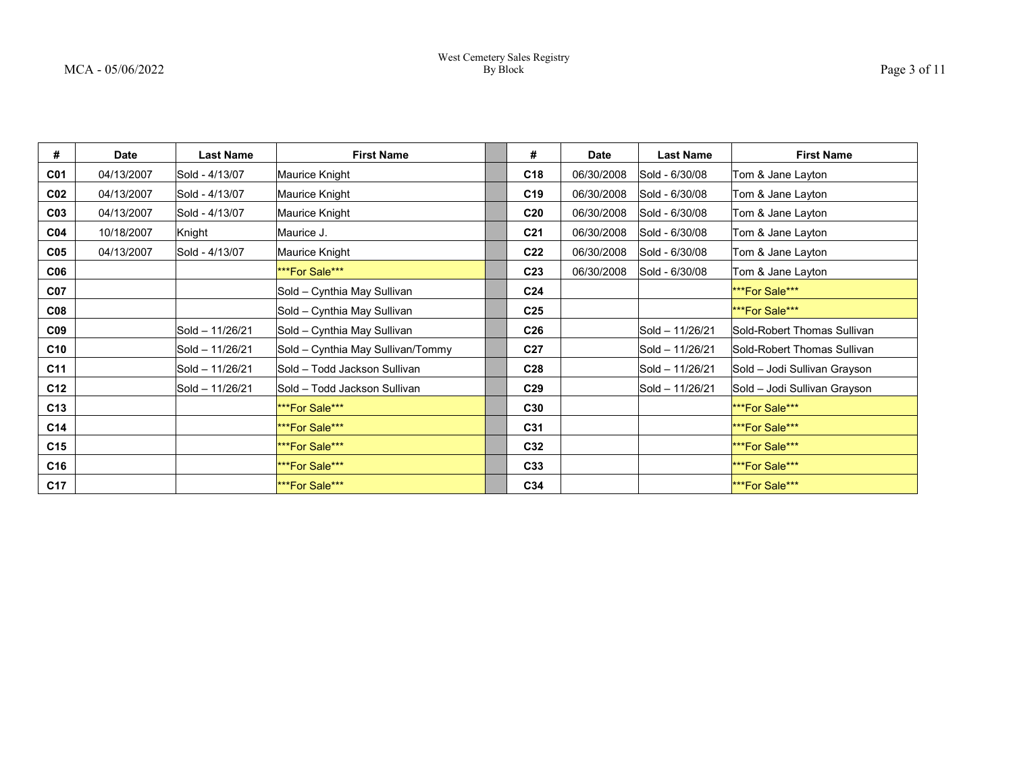| #               | <b>Date</b> | <b>Last Name</b> | <b>First Name</b>                 | #               | <b>Date</b> | <b>Last Name</b> | <b>First Name</b>            |
|-----------------|-------------|------------------|-----------------------------------|-----------------|-------------|------------------|------------------------------|
| <b>C01</b>      | 04/13/2007  | Sold - 4/13/07   | Maurice Knight                    | C <sub>18</sub> | 06/30/2008  | Sold - 6/30/08   | Tom & Jane Layton            |
| CO <sub>2</sub> | 04/13/2007  | Sold - 4/13/07   | Maurice Knight                    | C <sub>19</sub> | 06/30/2008  | Sold - 6/30/08   | Tom & Jane Layton            |
| CO <sub>3</sub> | 04/13/2007  | Sold - 4/13/07   | Maurice Knight                    | C <sub>20</sub> | 06/30/2008  | Sold - 6/30/08   | Tom & Jane Layton            |
| CO <sub>4</sub> | 10/18/2007  | Knight           | Maurice J.                        | C <sub>21</sub> | 06/30/2008  | Sold - 6/30/08   | Tom & Jane Layton            |
| C <sub>05</sub> | 04/13/2007  | Sold - 4/13/07   | Maurice Knight                    | C <sub>22</sub> | 06/30/2008  | Sold - 6/30/08   | Tom & Jane Layton            |
| C06             |             |                  | ***For Sale***                    | C <sub>23</sub> | 06/30/2008  | Sold - 6/30/08   | Tom & Jane Layton            |
| <b>C07</b>      |             |                  | Sold - Cynthia May Sullivan       | C <sub>24</sub> |             |                  | <b>***For Sale***</b>        |
| C08             |             |                  | Sold - Cynthia May Sullivan       | C <sub>25</sub> |             |                  | <b>***For Sale***</b>        |
| C <sub>09</sub> |             | Sold - 11/26/21  | Sold – Cynthia May Sullivan       | C <sub>26</sub> |             | Sold - 11/26/21  | Sold-Robert Thomas Sullivan  |
| C10             |             | Sold - 11/26/21  | Sold - Cynthia May Sullivan/Tommy | C <sub>27</sub> |             | Sold - 11/26/21  | Sold-Robert Thomas Sullivan  |
| C11             |             | Sold - 11/26/21  | Sold - Todd Jackson Sullivan      | C <sub>28</sub> |             | Sold - 11/26/21  | Sold – Jodi Sullivan Grayson |
| C12             |             | Sold - 11/26/21  | Sold - Todd Jackson Sullivan      | C <sub>29</sub> |             | Sold - 11/26/21  | Sold - Jodi Sullivan Grayson |
| C13             |             |                  | ***For Sale***                    | C30             |             |                  | <b>***For Sale***</b>        |
| C <sub>14</sub> |             |                  | ***For Sale***                    | C31             |             |                  | <b>***For Sale***</b>        |
| C <sub>15</sub> |             |                  | ***For Sale***                    | C32             |             |                  | <b>***For Sale***</b>        |
| C16             |             |                  | ***For Sale***                    | C33             |             |                  | <b>***For Sale***</b>        |
| C17             |             |                  | ***For Sale***                    | C34             |             |                  | <b>***For Sale***</b>        |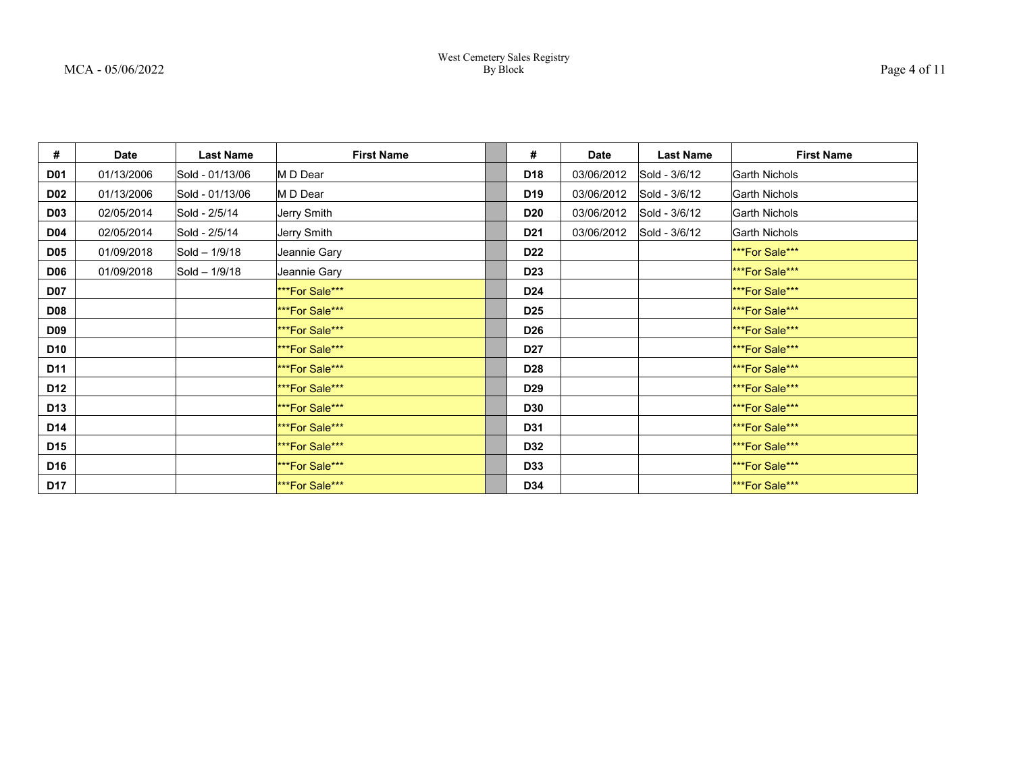| #               | <b>Date</b> | <b>Last Name</b> | <b>First Name</b>     | #               | Date       | <b>Last Name</b> | <b>First Name</b>     |
|-----------------|-------------|------------------|-----------------------|-----------------|------------|------------------|-----------------------|
| <b>D01</b>      | 01/13/2006  | Sold - 01/13/06  | M D Dear              | D18             | 03/06/2012 | Sold - 3/6/12    | Garth Nichols         |
| <b>D02</b>      | 01/13/2006  | Sold - 01/13/06  | M D Dear              | D <sub>19</sub> | 03/06/2012 | Sold - 3/6/12    | Garth Nichols         |
| <b>D03</b>      | 02/05/2014  | Sold - 2/5/14    | Jerry Smith           | <b>D20</b>      | 03/06/2012 | Sold - 3/6/12    | Garth Nichols         |
| <b>D04</b>      | 02/05/2014  | Sold - 2/5/14    | Jerry Smith           | D <sub>21</sub> | 03/06/2012 | Sold - 3/6/12    | <b>Garth Nichols</b>  |
| <b>D05</b>      | 01/09/2018  | Sold - 1/9/18    | Jeannie Gary          | <b>D22</b>      |            |                  | ***For Sale***        |
| <b>D06</b>      | 01/09/2018  | Sold - 1/9/18    | Jeannie Gary          | D <sub>23</sub> |            |                  | <b>***For Sale***</b> |
| <b>D07</b>      |             |                  | ***For Sale***        | D <sub>24</sub> |            |                  | <b>***For Sale***</b> |
| <b>D08</b>      |             |                  | ***For Sale***        | D <sub>25</sub> |            |                  | <b>***For Sale***</b> |
| <b>D09</b>      |             |                  | <b>***For Sale***</b> | <b>D26</b>      |            |                  | ***For Sale***        |
| D10             |             |                  | ***For Sale***        | <b>D27</b>      |            |                  | ***For Sale***        |
| D11             |             |                  | <b>***For Sale***</b> | <b>D28</b>      |            |                  | <b>***For Sale***</b> |
| D12             |             |                  | ***For Sale***        | D <sub>29</sub> |            |                  | <b>***For Sale***</b> |
| D <sub>13</sub> |             |                  | ***For Sale***        | <b>D30</b>      |            |                  | <b>***For Sale***</b> |
| D14             |             |                  | ***For Sale***        | D31             |            |                  | <b>***For Sale***</b> |
| D15             |             |                  | ***For Sale***        | D32             |            |                  | <b>***For Sale***</b> |
| D16             |             |                  | ***For Sale***        | D33             |            |                  | <b>***For Sale***</b> |
| <b>D17</b>      |             |                  | <b>***For Sale***</b> | D34             |            |                  | <b>***For Sale***</b> |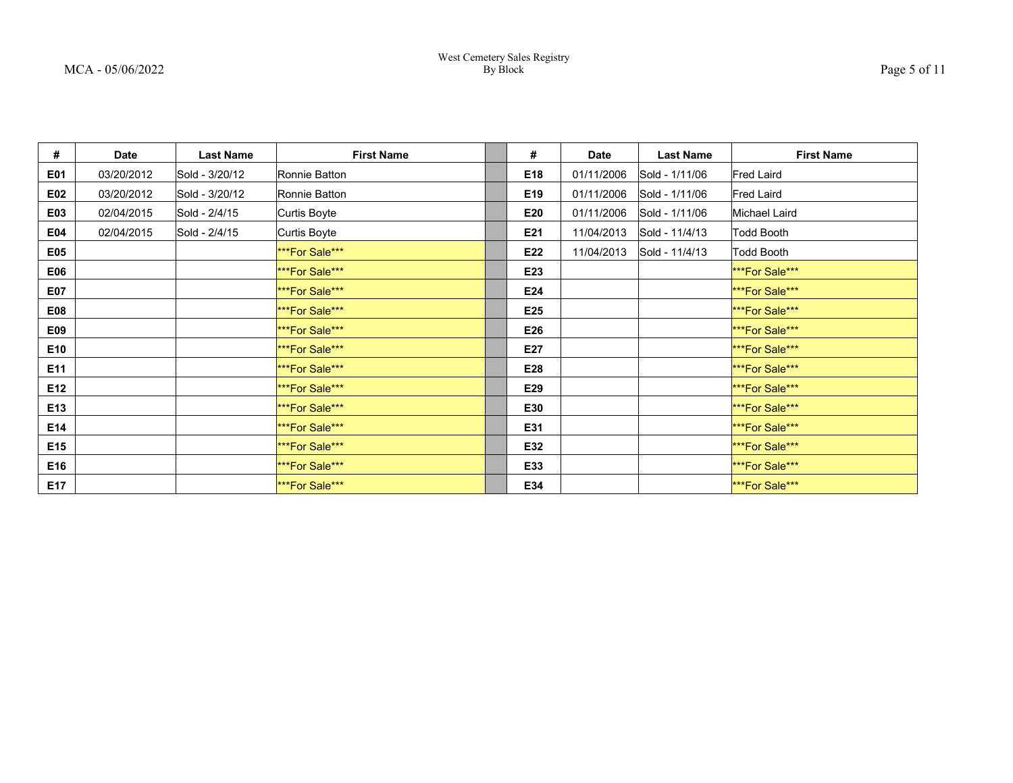| #               | <b>Date</b> | <b>Last Name</b> | <b>First Name</b>     | #               | <b>Date</b> | <b>Last Name</b> | <b>First Name</b>     |
|-----------------|-------------|------------------|-----------------------|-----------------|-------------|------------------|-----------------------|
| E01             | 03/20/2012  | Sold - 3/20/12   | Ronnie Batton         | E18             | 01/11/2006  | Sold - 1/11/06   | Fred Laird            |
| E02             | 03/20/2012  | Sold - 3/20/12   | Ronnie Batton         | E <sub>19</sub> | 01/11/2006  | Sold - 1/11/06   | Fred Laird            |
| E03             | 02/04/2015  | Sold - 2/4/15    | Curtis Boyte          | E20             | 01/11/2006  | Sold - 1/11/06   | Michael Laird         |
| E04             | 02/04/2015  | Sold - 2/4/15    | Curtis Boyte          | E21             | 11/04/2013  | Sold - 11/4/13   | Todd Booth            |
| E05             |             |                  | ***For Sale***        | E22             | 11/04/2013  | Sold - 11/4/13   | Todd Booth            |
| E06             |             |                  | <b>***For Sale***</b> | E23             |             |                  | <b>***For Sale***</b> |
| E07             |             |                  | <b>***For Sale***</b> | E24             |             |                  | <b>***For Sale***</b> |
| <b>E08</b>      |             |                  | <b>***For Sale***</b> | E25             |             |                  | <b>***For Sale***</b> |
| E09             |             |                  | <b>***For Sale***</b> | E26             |             |                  | <b>***For Sale***</b> |
| E10             |             |                  | ***For Sale***        | E27             |             |                  | <b>***For Sale***</b> |
| E11             |             |                  | ***For Sale***        | E28             |             |                  | <b>***For Sale***</b> |
| E12             |             |                  | <b>***For Sale***</b> | E29             |             |                  | <b>***For Sale***</b> |
| E <sub>13</sub> |             |                  | ***For Sale***        | E30             |             |                  | <b>***For Sale***</b> |
| E14             |             |                  | ***For Sale***        | E31             |             |                  | <b>***For Sale***</b> |
| E15             |             |                  | ***For Sale***        | E32             |             |                  | <b>***For Sale***</b> |
| E16             |             |                  | <b>***For Sale***</b> | E33             |             |                  | <b>***For Sale***</b> |
| E17             |             |                  | <b>***For Sale***</b> | E34             |             |                  | <b>***For Sale***</b> |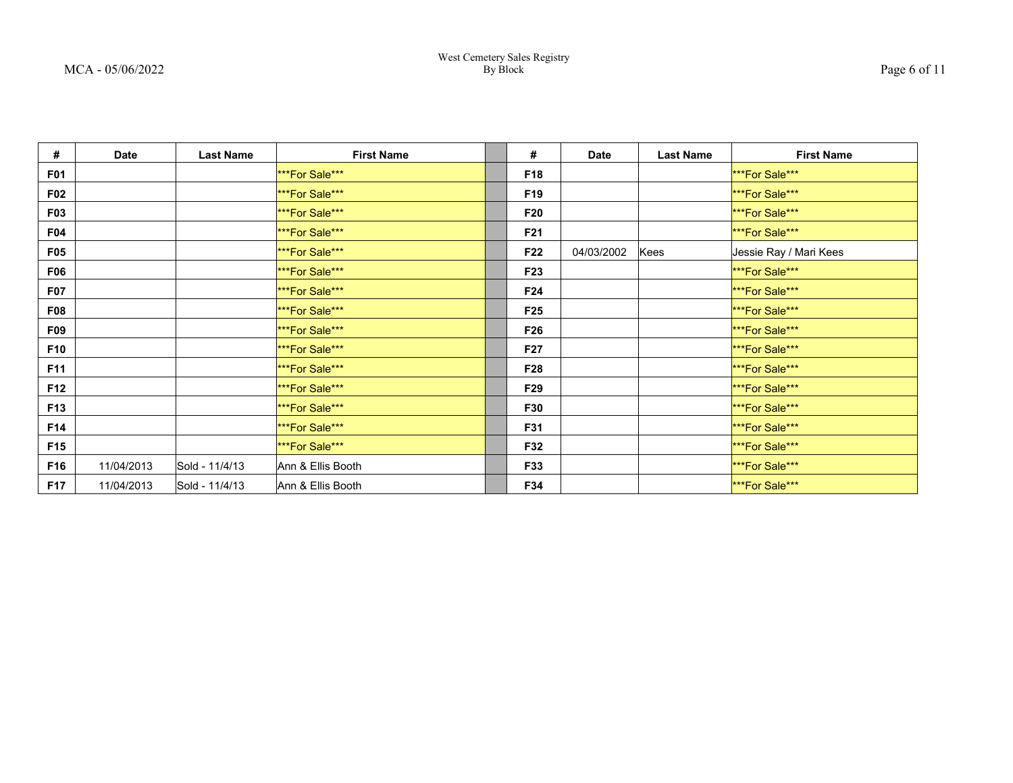| #               | <b>Date</b> | <b>Last Name</b> | <b>First Name</b>     | #               | <b>Date</b> | <b>Last Name</b> | <b>First Name</b>      |
|-----------------|-------------|------------------|-----------------------|-----------------|-------------|------------------|------------------------|
| <b>F01</b>      |             |                  | <b>***For Sale***</b> | F18             |             |                  | <b>***For Sale***</b>  |
| <b>F02</b>      |             |                  | <b>***For Sale***</b> | F <sub>19</sub> |             |                  | <b>***For Sale***</b>  |
| <b>F03</b>      |             |                  | <b>***For Sale***</b> | F20             |             |                  | <b>***For Sale***</b>  |
| <b>F04</b>      |             |                  | ***For Sale***        | F21             |             |                  | <b>***For Sale***</b>  |
| <b>F05</b>      |             |                  | <b>***For Sale***</b> | F22             | 04/03/2002  | Kees             | Jessie Ray / Mari Kees |
| <b>F06</b>      |             |                  | <b>***For Sale***</b> | F23             |             |                  | <b>***For Sale***</b>  |
| <b>F07</b>      |             |                  | <b>***For Sale***</b> | F24             |             |                  | <b>***For Sale***</b>  |
| <b>F08</b>      |             |                  | <b>***For Sale***</b> | F <sub>25</sub> |             |                  | <b>***For Sale***</b>  |
| <b>F09</b>      |             |                  | ***For Sale***        | F26             |             |                  | <b>***For Sale***</b>  |
| F10             |             |                  | ***For Sale***        | F <sub>27</sub> |             |                  | <b>***For Sale***</b>  |
| F11             |             |                  | ***For Sale***        | F28             |             |                  | <b>***For Sale***</b>  |
| F12             |             |                  | <b>***For Sale***</b> | F29             |             |                  | <b>***For Sale***</b>  |
| F13             |             |                  | <b>***For Sale***</b> | F30             |             |                  | <b>***For Sale***</b>  |
| F14             |             |                  | <b>***For Sale***</b> | <b>F31</b>      |             |                  | <b>***For Sale***</b>  |
| F <sub>15</sub> |             |                  | <b>***For Sale***</b> | F32             |             |                  | <b>***For Sale***</b>  |
| F16             | 11/04/2013  | Sold - 11/4/13   | Ann & Ellis Booth     | F33             |             |                  | <b>***For Sale***</b>  |
| F17             | 11/04/2013  | Sold - 11/4/13   | Ann & Ellis Booth     | F34             |             |                  | ***For Sale***         |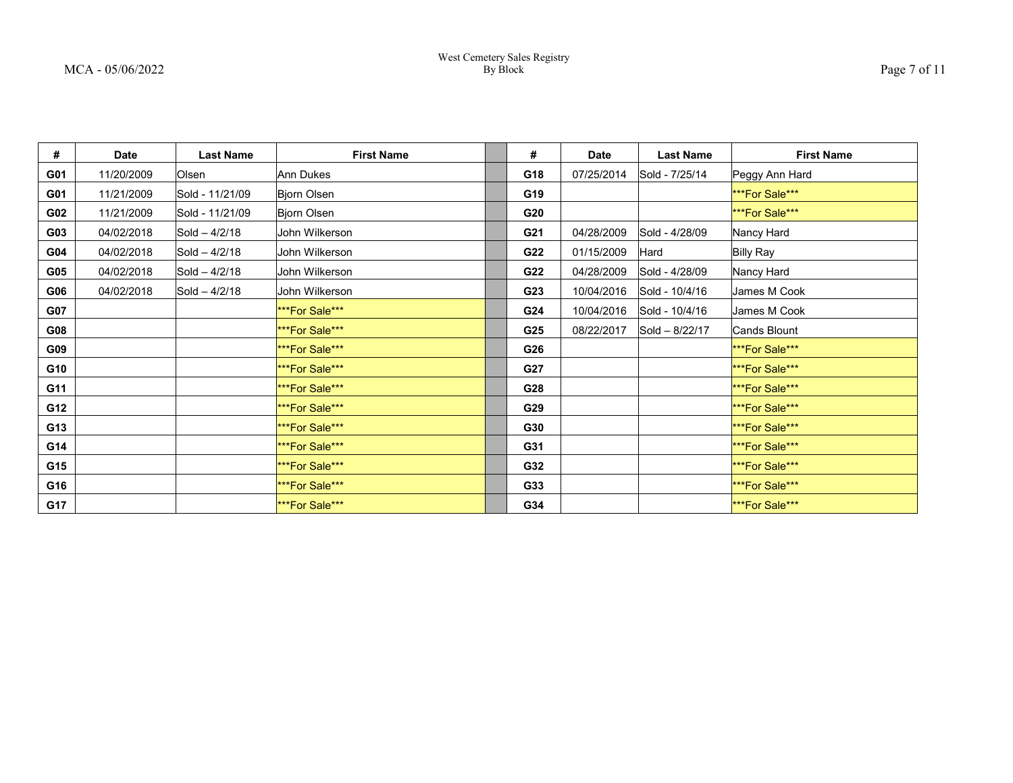| #   | <b>Date</b> | <b>Last Name</b> | <b>First Name</b>     | #   | Date       | <b>Last Name</b> | <b>First Name</b>     |
|-----|-------------|------------------|-----------------------|-----|------------|------------------|-----------------------|
| G01 | 11/20/2009  | Olsen            | Ann Dukes             | G18 | 07/25/2014 | Sold - 7/25/14   | Peggy Ann Hard        |
| G01 | 11/21/2009  | Sold - 11/21/09  | Bjorn Olsen           | G19 |            |                  | <b>***For Sale***</b> |
| G02 | 11/21/2009  | Sold - 11/21/09  | Bjorn Olsen           | G20 |            |                  | <b>***For Sale***</b> |
| G03 | 04/02/2018  | $Sold - 4/2/18$  | John Wilkerson        | G21 | 04/28/2009 | Sold - 4/28/09   | Nancy Hard            |
| G04 | 04/02/2018  | $Sold - 4/2/18$  | John Wilkerson        | G22 | 01/15/2009 | Hard             | <b>Billy Ray</b>      |
| G05 | 04/02/2018  | Sold - 4/2/18    | John Wilkerson        | G22 | 04/28/2009 | Sold - 4/28/09   | Nancy Hard            |
| G06 | 04/02/2018  | Sold - 4/2/18    | John Wilkerson        | G23 | 10/04/2016 | Sold - 10/4/16   | James M Cook          |
| G07 |             |                  | <b>***For Sale***</b> | G24 | 10/04/2016 | Sold - 10/4/16   | James M Cook          |
| G08 |             |                  | <b>***For Sale***</b> | G25 | 08/22/2017 | Sold - 8/22/17   | Cands Blount          |
| G09 |             |                  | <b>***For Sale***</b> | G26 |            |                  | <b>***For Sale***</b> |
| G10 |             |                  | ***For Sale***        | G27 |            |                  | <b>***For Sale***</b> |
| G11 |             |                  | ***For Sale***        | G28 |            |                  | <b>***For Sale***</b> |
| G12 |             |                  | ***For Sale***        | G29 |            |                  | <b>***For Sale***</b> |
| G13 |             |                  | ***For Sale***        | G30 |            |                  | <b>***For Sale***</b> |
| G14 |             |                  | ***For Sale***        | G31 |            |                  | <b>***For Sale***</b> |
| G15 |             |                  | <b>***For Sale***</b> | G32 |            |                  | <b>***For Sale***</b> |
| G16 |             |                  | <b>***For Sale***</b> | G33 |            |                  | <b>***For Sale***</b> |
| G17 |             |                  | <b>***For Sale***</b> | G34 |            |                  | <b>***For Sale***</b> |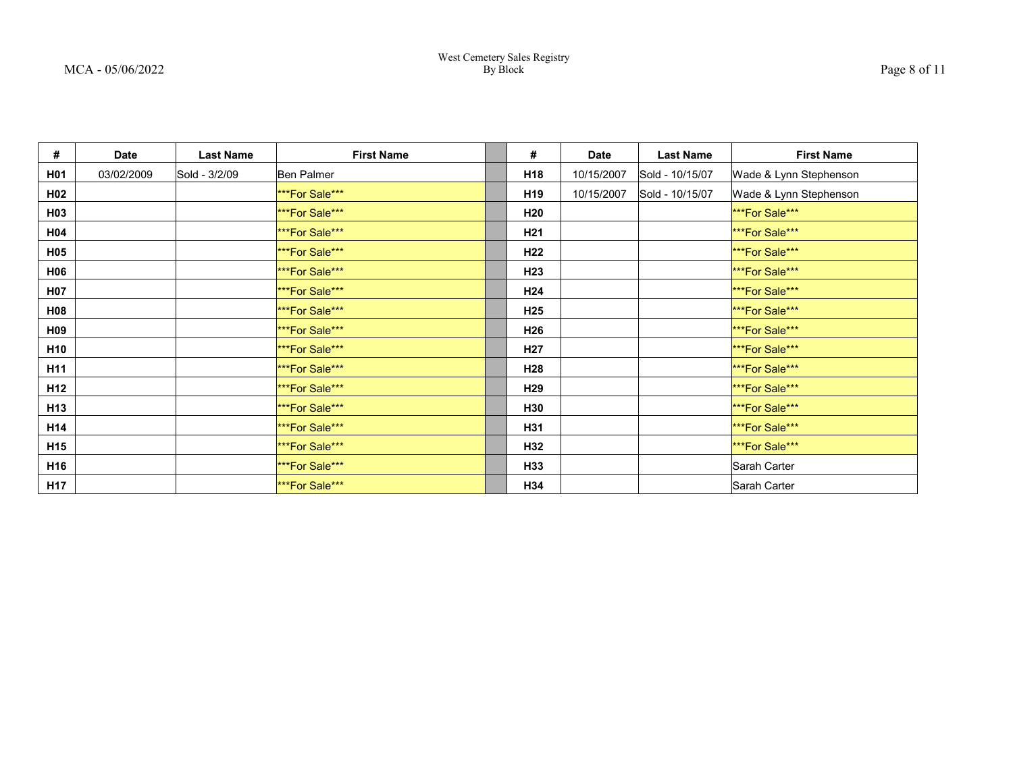| #               | <b>Date</b> | <b>Last Name</b> | <b>First Name</b>     | #               | <b>Date</b> | <b>Last Name</b> | <b>First Name</b>      |
|-----------------|-------------|------------------|-----------------------|-----------------|-------------|------------------|------------------------|
| H01             | 03/02/2009  | Sold - 3/2/09    | Ben Palmer            | H <sub>18</sub> | 10/15/2007  | Sold - 10/15/07  | Wade & Lynn Stephenson |
| H <sub>02</sub> |             |                  | <b>***For Sale***</b> | H <sub>19</sub> | 10/15/2007  | Sold - 10/15/07  | Wade & Lynn Stephenson |
| H <sub>03</sub> |             |                  | <b>***For Sale***</b> | H20             |             |                  | <b>***For Sale***</b>  |
| H04             |             |                  | <b>***For Sale***</b> | H <sub>21</sub> |             |                  | ***For Sale***         |
| H05             |             |                  | <b>***For Sale***</b> | H <sub>22</sub> |             |                  | <b>***For Sale***</b>  |
| <b>H06</b>      |             |                  | <b>***For Sale***</b> | H23             |             |                  | ***For Sale***         |
| H07             |             |                  | <b>***For Sale***</b> | H <sub>24</sub> |             |                  | <b>***For Sale***</b>  |
| <b>H08</b>      |             |                  | <b>***For Sale***</b> | H <sub>25</sub> |             |                  | <b>***For Sale***</b>  |
| H09             |             |                  | <b>***For Sale***</b> | H <sub>26</sub> |             |                  | <b>***For Sale***</b>  |
| H <sub>10</sub> |             |                  | <b>***For Sale***</b> | H <sub>27</sub> |             |                  | ***For Sale***         |
| H <sub>11</sub> |             |                  | <b>***For Sale***</b> | H28             |             |                  | ***For Sale***         |
| H <sub>12</sub> |             |                  | <b>***For Sale***</b> | H <sub>29</sub> |             |                  | <b>***For Sale***</b>  |
| H <sub>13</sub> |             |                  | <b>***For Sale***</b> | H30             |             |                  | ***For Sale***         |
| H <sub>14</sub> |             |                  | ***For Sale***        | H31             |             |                  | ***For Sale***         |
| H <sub>15</sub> |             |                  | ***For Sale***        | H32             |             |                  | ***For Sale***         |
| H16             |             |                  | ***For Sale***        | H33             |             |                  | Sarah Carter           |
| H <sub>17</sub> |             |                  | <b>***For Sale***</b> | H34             |             |                  | Sarah Carter           |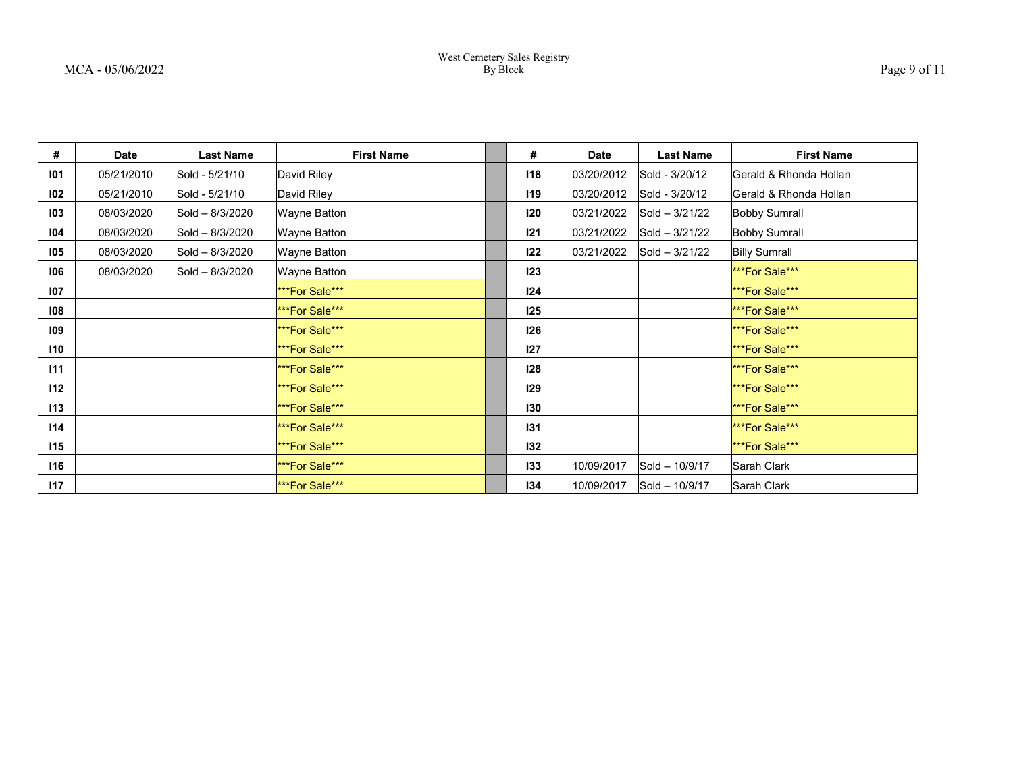| #   | <b>Date</b> | <b>Last Name</b> | <b>First Name</b>     | #   | <b>Date</b> | <b>Last Name</b>   | <b>First Name</b>      |
|-----|-------------|------------------|-----------------------|-----|-------------|--------------------|------------------------|
| 101 | 05/21/2010  | Sold - 5/21/10   | David Riley           | 118 | 03/20/2012  | Sold - 3/20/12     | Gerald & Rhonda Hollan |
| 102 | 05/21/2010  | Sold - 5/21/10   | David Riley           | 119 | 03/20/2012  | Sold - 3/20/12     | Gerald & Rhonda Hollan |
| 103 | 08/03/2020  | Sold - 8/3/2020  | Wayne Batton          | 120 | 03/21/2022  | Sold - 3/21/22     | <b>Bobby Sumrall</b>   |
| 104 | 08/03/2020  | Sold - 8/3/2020  | Wayne Batton          | 121 | 03/21/2022  | $ Sold - 3/21/22 $ | <b>Bobby Sumrall</b>   |
| 105 | 08/03/2020  | Sold - 8/3/2020  | <b>Wayne Batton</b>   | 122 | 03/21/2022  | $Sold - 3/21/22$   | <b>Billy Sumrall</b>   |
| 106 | 08/03/2020  | Sold - 8/3/2020  | <b>Wayne Batton</b>   | 123 |             |                    | <b>***For Sale***</b>  |
| 107 |             |                  | ***For Sale***        | 124 |             |                    | <b>***For Sale***</b>  |
| 108 |             |                  | ***For Sale***        | 125 |             |                    | <b>***For Sale***</b>  |
| 109 |             |                  | ***For Sale***        | 126 |             |                    | <b>***For Sale***</b>  |
| 110 |             |                  | ***For Sale***        | 127 |             |                    | <b>***For Sale***</b>  |
| 111 |             |                  | ***For Sale***        | 128 |             |                    | <b>***For Sale***</b>  |
| 112 |             |                  | ***For Sale***        | 129 |             |                    | <b>***For Sale***</b>  |
| 113 |             |                  | <b>***For Sale***</b> | 130 |             |                    | <b>***For Sale***</b>  |
| 114 |             |                  | ***For Sale***        | 131 |             |                    | <b>***For Sale***</b>  |
| 115 |             |                  | ***For Sale***        | 132 |             |                    | <b>***For Sale***</b>  |
| 116 |             |                  | <b>***For Sale***</b> | 133 | 10/09/2017  | Sold - 10/9/17     | Sarah Clark            |
| 117 |             |                  | <b>***For Sale***</b> | 134 | 10/09/2017  | Sold - 10/9/17     | Sarah Clark            |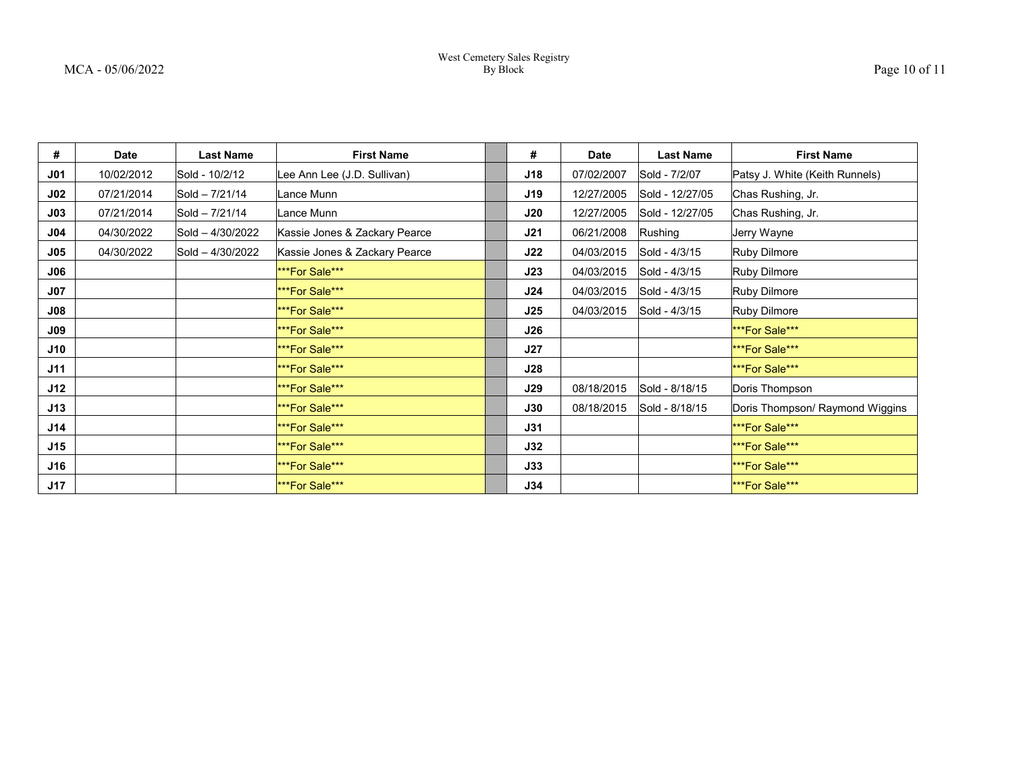| #      | <b>Date</b> | <b>Last Name</b> | <b>First Name</b>             | #          | <b>Date</b> | <b>Last Name</b> | <b>First Name</b>               |
|--------|-------------|------------------|-------------------------------|------------|-------------|------------------|---------------------------------|
| J01    | 10/02/2012  | Sold - 10/2/12   | Lee Ann Lee (J.D. Sullivan)   | J18        | 07/02/2007  | Sold - 7/2/07    | Patsy J. White (Keith Runnels)  |
| $J$ 02 | 07/21/2014  | Sold - 7/21/14   | Lance Munn                    | J19        | 12/27/2005  | Sold - 12/27/05  | Chas Rushing, Jr.               |
| J03    | 07/21/2014  | Sold - 7/21/14   | Lance Munn                    | J20        | 12/27/2005  | Sold - 12/27/05  | Chas Rushing, Jr.               |
| J04    | 04/30/2022  | Sold - 4/30/2022 | Kassie Jones & Zackary Pearce | J21        | 06/21/2008  | Rushing          | Jerry Wayne                     |
| J05    | 04/30/2022  | Sold - 4/30/2022 | Kassie Jones & Zackary Pearce | J22        | 04/03/2015  | Sold - 4/3/15    | Ruby Dilmore                    |
| J06    |             |                  | ***For Sale***                | J23        | 04/03/2015  | Sold - 4/3/15    | Ruby Dilmore                    |
| JO7    |             |                  | ***For Sale***                | J24        | 04/03/2015  | Sold - 4/3/15    | <b>Ruby Dilmore</b>             |
| J08    |             |                  | ***For Sale***                | J25        | 04/03/2015  | Sold - 4/3/15    | Ruby Dilmore                    |
| J09    |             |                  | ***For Sale***                | J26        |             |                  | <b>***For Sale***</b>           |
| J10    |             |                  | ***For Sale***                | J27        |             |                  | <b>***For Sale***</b>           |
| J11    |             |                  | ***For Sale***                | J28        |             |                  | <b>***For Sale***</b>           |
| J12    |             |                  | ***For Sale***                | J29        | 08/18/2015  | Sold - 8/18/15   | Doris Thompson                  |
| J13    |             |                  | ***For Sale***                | J30        | 08/18/2015  | Sold - 8/18/15   | Doris Thompson/ Raymond Wiggins |
| J14    |             |                  | ***For Sale***                | <b>J31</b> |             |                  | <b>***For Sale***</b>           |
| J15    |             |                  | ***For Sale***                | <b>J32</b> |             |                  | <b>***For Sale***</b>           |
| J16    |             |                  | ***For Sale***                | J33        |             |                  | <b>***For Sale***</b>           |
| J17    |             |                  | ***For Sale***                | J34        |             |                  | <b>***For Sale***</b>           |